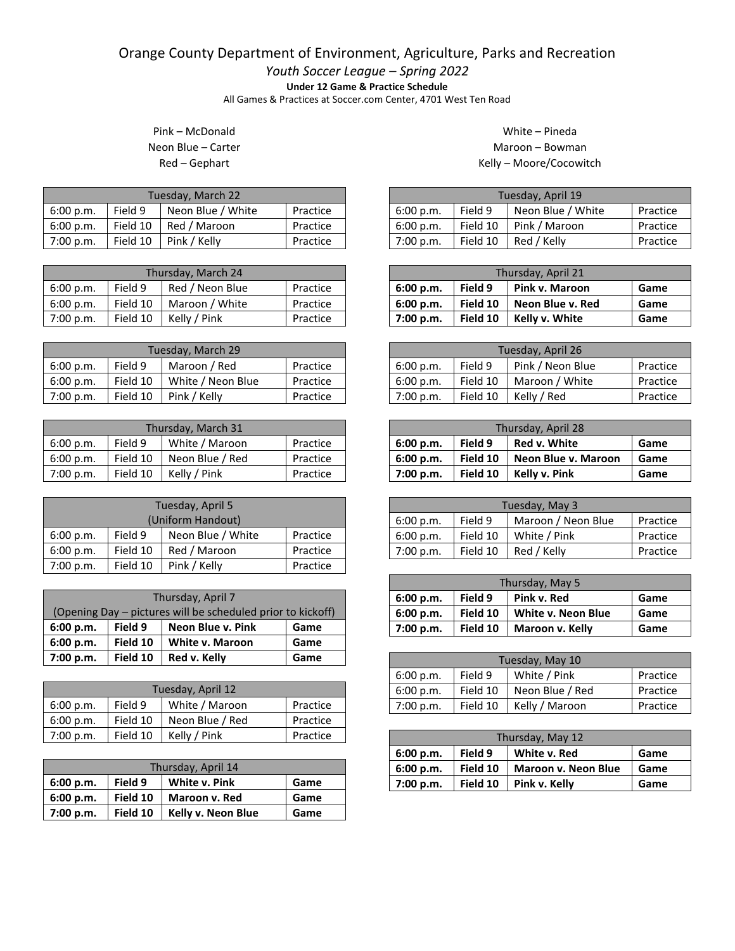## Orange County Department of Environment, Agriculture, Parks and Recreation

*Youth Soccer League – Spring 2022*

**Under 12 Game & Practice Schedule**

All Games & Practices at Soccer.com Center, 4701 West Ten Road

## Pink – McDonald Neon Blue – Carter Red – Gephart

| Tuesday, March 22 |          |                   |          |  |
|-------------------|----------|-------------------|----------|--|
| 6:00 p.m.         | Field 9  | Neon Blue / White | Practice |  |
| 6:00 p.m.         | Field 10 | Red / Maroon      | Practice |  |
| 7:00 p.m.         | Field 10 | Pink / Kelly      | Practice |  |

| Thursday, March 24 |          |                         |          |  |
|--------------------|----------|-------------------------|----------|--|
| 6:00 p.m.          | Field 9  | Red / Neon Blue         | Practice |  |
| 6:00 p.m.          | Field 10 | Maroon / White          | Practice |  |
| 7:00 p.m.          |          | Field 10   Kelly / Pink | Practice |  |

| Tuesday, March 29 |          |                   |          |  |
|-------------------|----------|-------------------|----------|--|
| 6:00 p.m.         | Field 9  | Maroon / Red      | Practice |  |
| 6:00 p.m.         | Field 10 | White / Neon Blue | Practice |  |
| 7:00 p.m.         | Field 10 | Pink / Kelly      | Practice |  |

| Thursday, March 31 |          |                 |          |  |
|--------------------|----------|-----------------|----------|--|
| 6:00 p.m.          | Field 9  | White / Maroon  | Practice |  |
| 6:00 p.m.          | Field 10 | Neon Blue / Red | Practice |  |
| 7:00 p.m.          | Field 10 | Kelly / Pink    | Practice |  |

| Tuesday, April 5                                      |          |              |          |  |
|-------------------------------------------------------|----------|--------------|----------|--|
| (Uniform Handout)                                     |          |              |          |  |
| Neon Blue / White<br>Field 9<br>Practice<br>6:00 p.m. |          |              |          |  |
| Field 10<br>Red / Maroon<br>6:00 p.m.<br>Practice     |          |              |          |  |
| 7:00 p.m.                                             | Field 10 | Pink / Kelly | Practice |  |

| Thursday, April 7                                           |          |                   |      |  |
|-------------------------------------------------------------|----------|-------------------|------|--|
| (Opening Day – pictures will be scheduled prior to kickoff) |          |                   |      |  |
| 6:00 p.m.                                                   | Field 9  | Neon Blue v. Pink | Game |  |
| 6:00 p.m.                                                   | Field 10 | White v. Maroon   | Game |  |
| 7:00 p.m.                                                   | Field 10 | Red v. Kelly      | Game |  |

| Tuesday, April 12                                  |          |                 |          |  |
|----------------------------------------------------|----------|-----------------|----------|--|
| White / Maroon<br>Field 9<br>Practice<br>6:00 p.m. |          |                 |          |  |
| 6:00 p.m.                                          | Field 10 | Neon Blue / Red | Practice |  |
| 7:00 p.m.                                          | Field 10 | Kelly / Pink    | Practice |  |

| Thursday, April 14 |          |                    |      |  |
|--------------------|----------|--------------------|------|--|
| 6:00 p.m.          | Field 9  | White v. Pink      | Game |  |
| 6:00 p.m.          | Field 10 | Maroon v. Red      | Game |  |
| 7:00 p.m.          | Field 10 | Kelly v. Neon Blue | Game |  |

## White – Pineda Maroon – Bowman Kelly – Moore/Cocowitch

| Tuesday, April 19 |          |                   |          |  |
|-------------------|----------|-------------------|----------|--|
| 6:00 p.m.         | Field 9  | Neon Blue / White | Practice |  |
| 6:00 p.m.         | Field 10 | Pink / Maroon     | Practice |  |
| 7:00 p.m.         | Field 10 | Red / Kelly       | Practice |  |

| Thursday, April 21 |          |                  |      |  |
|--------------------|----------|------------------|------|--|
| 6:00 p.m.          | Field 9  | Pink v. Maroon   | Game |  |
| 6:00 p.m.          | Field 10 | Neon Blue v. Red | Game |  |
| 7:00 p.m.          | Field 10 | Kelly v. White   | Game |  |

| Tuesday, April 26 |          |                  |          |  |
|-------------------|----------|------------------|----------|--|
| 6:00 p.m.         | Field 9  | Pink / Neon Blue | Practice |  |
| 6:00 p.m.         | Field 10 | Maroon / White   | Practice |  |
| 7:00 p.m.         | Field 10 | Kelly / Red      | Practice |  |

| Thursday, April 28                           |          |                     |      |  |
|----------------------------------------------|----------|---------------------|------|--|
| Red v. White<br>Field 9<br>6:00 p.m.<br>Game |          |                     |      |  |
| 6:00 p.m.                                    | Field 10 | Neon Blue v. Maroon | Game |  |
| 7:00 p.m.                                    | Field 10 | Kelly v. Pink       | Game |  |

| Tuesday, May 3 |          |                    |          |  |
|----------------|----------|--------------------|----------|--|
| 6:00 p.m.      | Field 9  | Maroon / Neon Blue | Practice |  |
| 6:00 p.m.      | Field 10 | White / Pink       | Practice |  |
| 7:00 p.m.      | Field 10 | Red / Kelly        | Practice |  |

| Thursday, May 5 |          |                    |      |  |
|-----------------|----------|--------------------|------|--|
| 6:00 p.m.       | Field 9  | Pink v. Red        | Game |  |
| 6:00 p.m.       | Field 10 | White v. Neon Blue | Game |  |
| 7:00 p.m.       | Field 10 | Maroon v. Kelly    | Game |  |

| Tuesday, May 10 |          |                 |          |  |
|-----------------|----------|-----------------|----------|--|
| 6:00 p.m.       | Field 9  | White / Pink    | Practice |  |
| 6:00 p.m.       | Field 10 | Neon Blue / Red | Practice |  |
| 7:00 p.m.       | Field 10 | Kelly / Maroon  | Practice |  |

| Thursday, May 12 |          |                            |      |  |
|------------------|----------|----------------------------|------|--|
| 6:00 p.m.        | Field 9  | White v. Red               | Game |  |
| 6:00 p.m.        | Field 10 | <b>Maroon v. Neon Blue</b> | Game |  |
| 7:00 p.m.        | Field 10 | Pink v. Kelly              | Game |  |